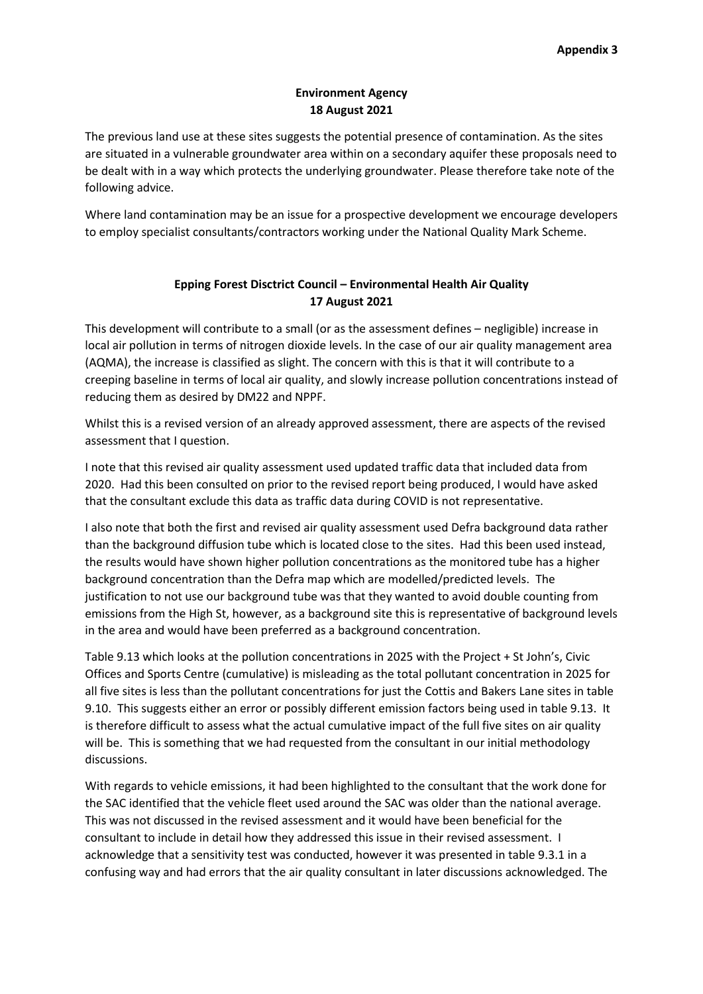# **Environment Agency 18 August 2021**

The previous land use at these sites suggests the potential presence of contamination. As the sites are situated in a vulnerable groundwater area within on a secondary aquifer these proposals need to be dealt with in a way which protects the underlying groundwater. Please therefore take note of the following advice.

Where land contamination may be an issue for a prospective development we encourage developers to employ specialist consultants/contractors working under the National Quality Mark Scheme.

# **Epping Forest Disctrict Council – Environmental Health Air Quality 17 August 2021**

This development will contribute to a small (or as the assessment defines – negligible) increase in local air pollution in terms of nitrogen dioxide levels. In the case of our air quality management area (AQMA), the increase is classified as slight. The concern with this is that it will contribute to a creeping baseline in terms of local air quality, and slowly increase pollution concentrations instead of reducing them as desired by DM22 and NPPF.

Whilst this is a revised version of an already approved assessment, there are aspects of the revised assessment that I question.

I note that this revised air quality assessment used updated traffic data that included data from 2020. Had this been consulted on prior to the revised report being produced, I would have asked that the consultant exclude this data as traffic data during COVID is not representative.

I also note that both the first and revised air quality assessment used Defra background data rather than the background diffusion tube which is located close to the sites. Had this been used instead, the results would have shown higher pollution concentrations as the monitored tube has a higher background concentration than the Defra map which are modelled/predicted levels. The justification to not use our background tube was that they wanted to avoid double counting from emissions from the High St, however, as a background site this is representative of background levels in the area and would have been preferred as a background concentration.

Table 9.13 which looks at the pollution concentrations in 2025 with the Project + St John's, Civic Offices and Sports Centre (cumulative) is misleading as the total pollutant concentration in 2025 for all five sites is less than the pollutant concentrations for just the Cottis and Bakers Lane sites in table 9.10. This suggests either an error or possibly different emission factors being used in table 9.13. It is therefore difficult to assess what the actual cumulative impact of the full five sites on air quality will be. This is something that we had requested from the consultant in our initial methodology discussions.

With regards to vehicle emissions, it had been highlighted to the consultant that the work done for the SAC identified that the vehicle fleet used around the SAC was older than the national average. This was not discussed in the revised assessment and it would have been beneficial for the consultant to include in detail how they addressed this issue in their revised assessment. I acknowledge that a sensitivity test was conducted, however it was presented in table 9.3.1 in a confusing way and had errors that the air quality consultant in later discussions acknowledged. The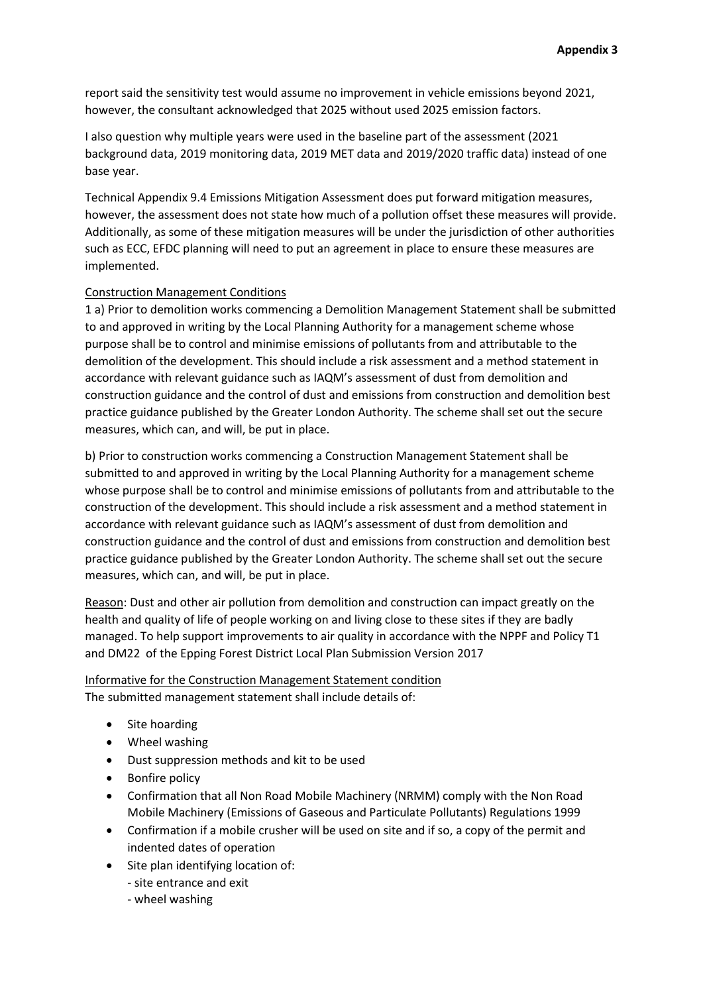report said the sensitivity test would assume no improvement in vehicle emissions beyond 2021, however, the consultant acknowledged that 2025 without used 2025 emission factors.

I also question why multiple years were used in the baseline part of the assessment (2021 background data, 2019 monitoring data, 2019 MET data and 2019/2020 traffic data) instead of one base year.

Technical Appendix 9.4 Emissions Mitigation Assessment does put forward mitigation measures, however, the assessment does not state how much of a pollution offset these measures will provide. Additionally, as some of these mitigation measures will be under the jurisdiction of other authorities such as ECC, EFDC planning will need to put an agreement in place to ensure these measures are implemented.

#### Construction Management Conditions

1 a) Prior to demolition works commencing a Demolition Management Statement shall be submitted to and approved in writing by the Local Planning Authority for a management scheme whose purpose shall be to control and minimise emissions of pollutants from and attributable to the demolition of the development. This should include a risk assessment and a method statement in accordance with relevant guidance such as IAQM's assessment of dust from demolition and construction guidance and the control of dust and emissions from construction and demolition best practice guidance published by the Greater London Authority. The scheme shall set out the secure measures, which can, and will, be put in place.

b) Prior to construction works commencing a Construction Management Statement shall be submitted to and approved in writing by the Local Planning Authority for a management scheme whose purpose shall be to control and minimise emissions of pollutants from and attributable to the construction of the development. This should include a risk assessment and a method statement in accordance with relevant guidance such as IAQM's assessment of dust from demolition and construction guidance and the control of dust and emissions from construction and demolition best practice guidance published by the Greater London Authority. The scheme shall set out the secure measures, which can, and will, be put in place.

Reason: Dust and other air pollution from demolition and construction can impact greatly on the health and quality of life of people working on and living close to these sites if they are badly managed. To help support improvements to air quality in accordance with the NPPF and Policy T1 and DM22 of the Epping Forest District Local Plan Submission Version 2017

Informative for the Construction Management Statement condition The submitted management statement shall include details of:

- Site hoarding
- Wheel washing
- Dust suppression methods and kit to be used
- Bonfire policy
- Confirmation that all Non Road Mobile Machinery (NRMM) comply with the Non Road Mobile Machinery (Emissions of Gaseous and Particulate Pollutants) Regulations 1999
- Confirmation if a mobile crusher will be used on site and if so, a copy of the permit and indented dates of operation
- Site plan identifying location of:
	- site entrance and exit
	- wheel washing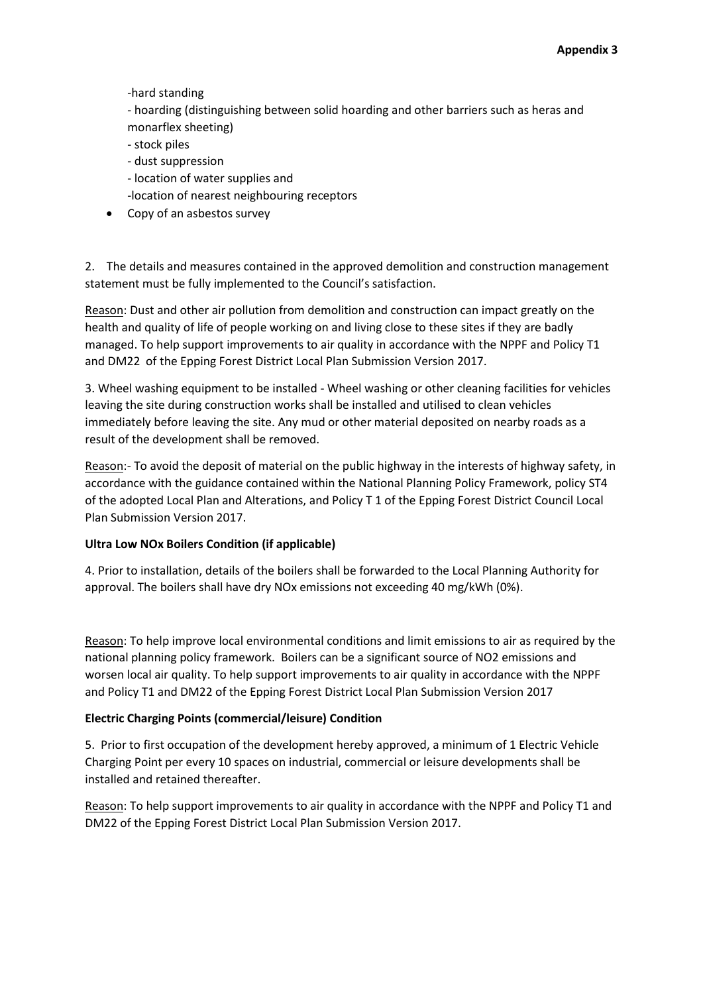-hard standing

- hoarding (distinguishing between solid hoarding and other barriers such as heras and monarflex sheeting)

- stock piles
- dust suppression
- location of water supplies and
- -location of nearest neighbouring receptors
- Copy of an asbestos survey

2. The details and measures contained in the approved demolition and construction management statement must be fully implemented to the Council's satisfaction.

Reason: Dust and other air pollution from demolition and construction can impact greatly on the health and quality of life of people working on and living close to these sites if they are badly managed. To help support improvements to air quality in accordance with the NPPF and Policy T1 and DM22 of the Epping Forest District Local Plan Submission Version 2017.

3. Wheel washing equipment to be installed - Wheel washing or other cleaning facilities for vehicles leaving the site during construction works shall be installed and utilised to clean vehicles immediately before leaving the site. Any mud or other material deposited on nearby roads as a result of the development shall be removed.

Reason:- To avoid the deposit of material on the public highway in the interests of highway safety, in accordance with the guidance contained within the National Planning Policy Framework, policy ST4 of the adopted Local Plan and Alterations, and Policy T 1 of the Epping Forest District Council Local Plan Submission Version 2017.

### **Ultra Low NOx Boilers Condition (if applicable)**

4. Prior to installation, details of the boilers shall be forwarded to the Local Planning Authority for approval. The boilers shall have dry NOx emissions not exceeding 40 mg/kWh (0%).

Reason: To help improve local environmental conditions and limit emissions to air as required by the national planning policy framework. Boilers can be a significant source of NO2 emissions and worsen local air quality. To help support improvements to air quality in accordance with the NPPF and Policy T1 and DM22 of the Epping Forest District Local Plan Submission Version 2017

### **Electric Charging Points (commercial/leisure) Condition**

5. Prior to first occupation of the development hereby approved, a minimum of 1 Electric Vehicle Charging Point per every 10 spaces on industrial, commercial or leisure developments shall be installed and retained thereafter.

Reason: To help support improvements to air quality in accordance with the NPPF and Policy T1 and DM22 of the Epping Forest District Local Plan Submission Version 2017.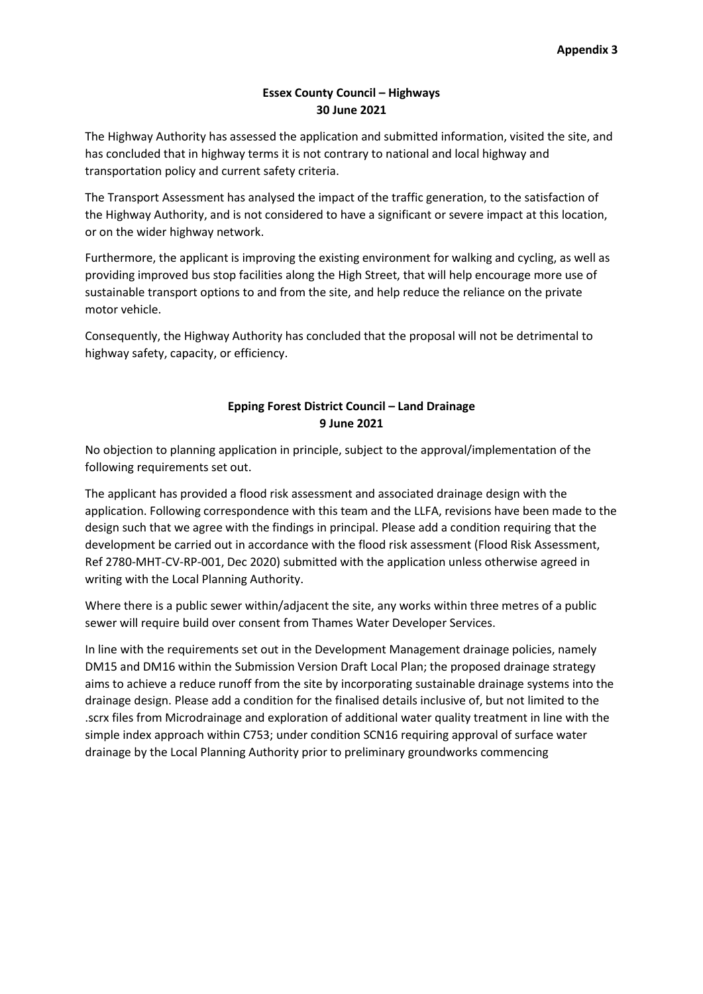## **Essex County Council – Highways 30 June 2021**

The Highway Authority has assessed the application and submitted information, visited the site, and has concluded that in highway terms it is not contrary to national and local highway and transportation policy and current safety criteria.

The Transport Assessment has analysed the impact of the traffic generation, to the satisfaction of the Highway Authority, and is not considered to have a significant or severe impact at this location, or on the wider highway network.

Furthermore, the applicant is improving the existing environment for walking and cycling, as well as providing improved bus stop facilities along the High Street, that will help encourage more use of sustainable transport options to and from the site, and help reduce the reliance on the private motor vehicle.

Consequently, the Highway Authority has concluded that the proposal will not be detrimental to highway safety, capacity, or efficiency.

# **Epping Forest District Council – Land Drainage 9 June 2021**

No objection to planning application in principle, subject to the approval/implementation of the following requirements set out.

The applicant has provided a flood risk assessment and associated drainage design with the application. Following correspondence with this team and the LLFA, revisions have been made to the design such that we agree with the findings in principal. Please add a condition requiring that the development be carried out in accordance with the flood risk assessment (Flood Risk Assessment, Ref 2780-MHT-CV-RP-001, Dec 2020) submitted with the application unless otherwise agreed in writing with the Local Planning Authority.

Where there is a public sewer within/adjacent the site, any works within three metres of a public sewer will require build over consent from Thames Water Developer Services.

In line with the requirements set out in the Development Management drainage policies, namely DM15 and DM16 within the Submission Version Draft Local Plan; the proposed drainage strategy aims to achieve a reduce runoff from the site by incorporating sustainable drainage systems into the drainage design. Please add a condition for the finalised details inclusive of, but not limited to the .scrx files from Microdrainage and exploration of additional water quality treatment in line with the simple index approach within C753; under condition SCN16 requiring approval of surface water drainage by the Local Planning Authority prior to preliminary groundworks commencing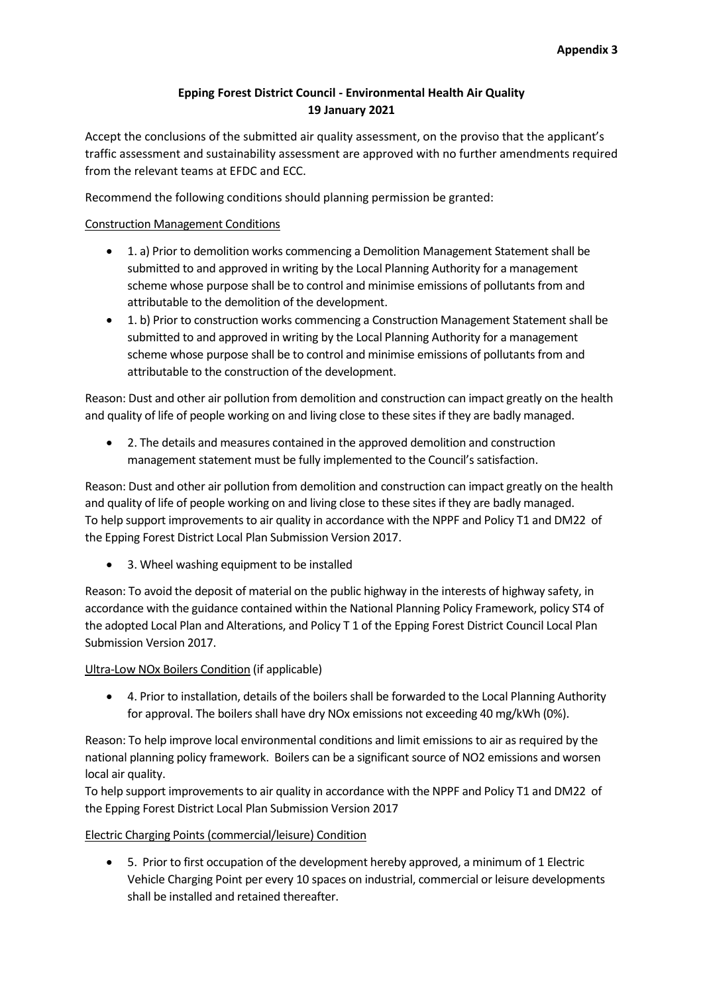# **Epping Forest District Council - Environmental Health Air Quality 19 January 2021**

Accept the conclusions of the submitted air quality assessment, on the proviso that the applicant's traffic assessment and sustainability assessment are approved with no further amendments required from the relevant teams at EFDC and ECC.

Recommend the following conditions should planning permission be granted:

### Construction Management Conditions

- 1. a) Prior to demolition works commencing a Demolition Management Statement shall be submitted to and approved in writing by the Local Planning Authority for a management scheme whose purpose shall be to control and minimise emissions of pollutants from and attributable to the demolition of the development.
- 1. b) Prior to construction works commencing a Construction Management Statement shall be submitted to and approved in writing by the Local Planning Authority for a management scheme whose purpose shall be to control and minimise emissions of pollutants from and attributable to the construction of the development.

Reason: Dust and other air pollution from demolition and construction can impact greatly on the health and quality of life of people working on and living close to these sites if they are badly managed.

 2. The details and measures contained in the approved demolition and construction management statement must be fully implemented to the Council's satisfaction.

Reason: Dust and other air pollution from demolition and construction can impact greatly on the health and quality of life of people working on and living close to these sites if they are badly managed. To help support improvements to air quality in accordance with the NPPF and Policy T1 and DM22 of the Epping Forest District Local Plan Submission Version 2017.

• 3. Wheel washing equipment to be installed

Reason: To avoid the deposit of material on the public highway in the interests of highway safety, in accordance with the guidance contained within the National Planning Policy Framework, policy ST4 of the adopted Local Plan and Alterations, and Policy T 1 of the Epping Forest District Council Local Plan Submission Version 2017.

#### Ultra-Low NOx Boilers Condition (if applicable)

 4. Prior to installation, details of the boilers shall be forwarded to the Local Planning Authority for approval. The boilers shall have dry NOx emissions not exceeding 40 mg/kWh (0%).

Reason: To help improve local environmental conditions and limit emissions to air as required by the national planning policy framework. Boilers can be a significant source of NO2 emissions and worsen local air quality.

To help support improvements to air quality in accordance with the NPPF and Policy T1 and DM22 of the Epping Forest District Local Plan Submission Version 2017

### Electric Charging Points (commercial/leisure) Condition

 5. Prior to first occupation of the development hereby approved, a minimum of 1 Electric Vehicle Charging Point per every 10 spaces on industrial, commercial or leisure developments shall be installed and retained thereafter.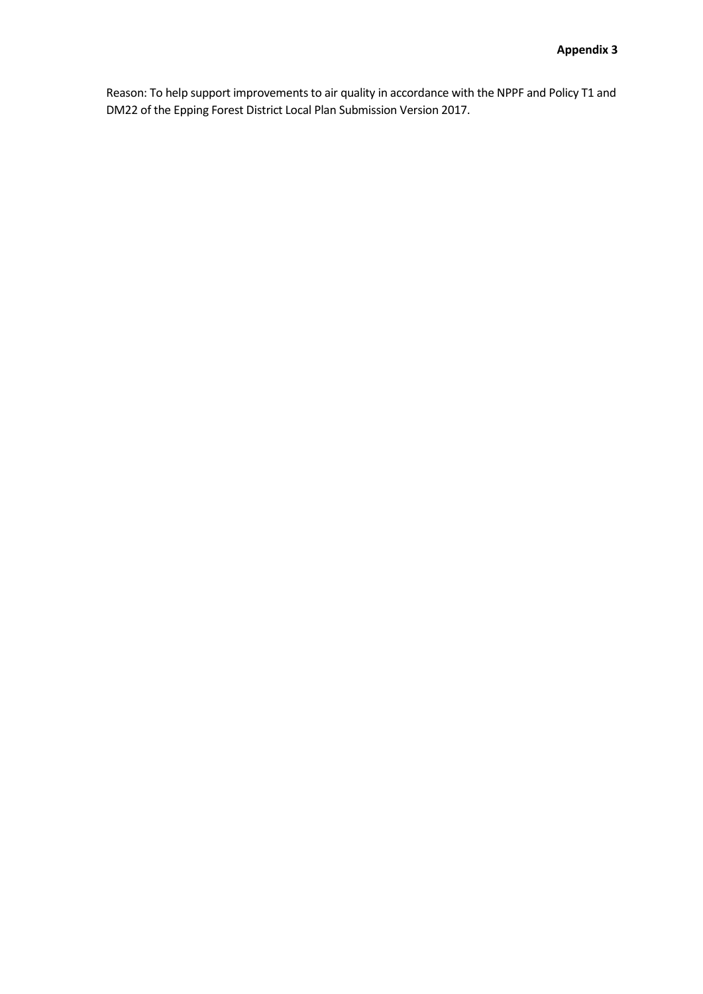Reason: To help support improvements to air quality in accordance with the NPPF and Policy T1 and DM22 of the Epping Forest District Local Plan Submission Version 2017.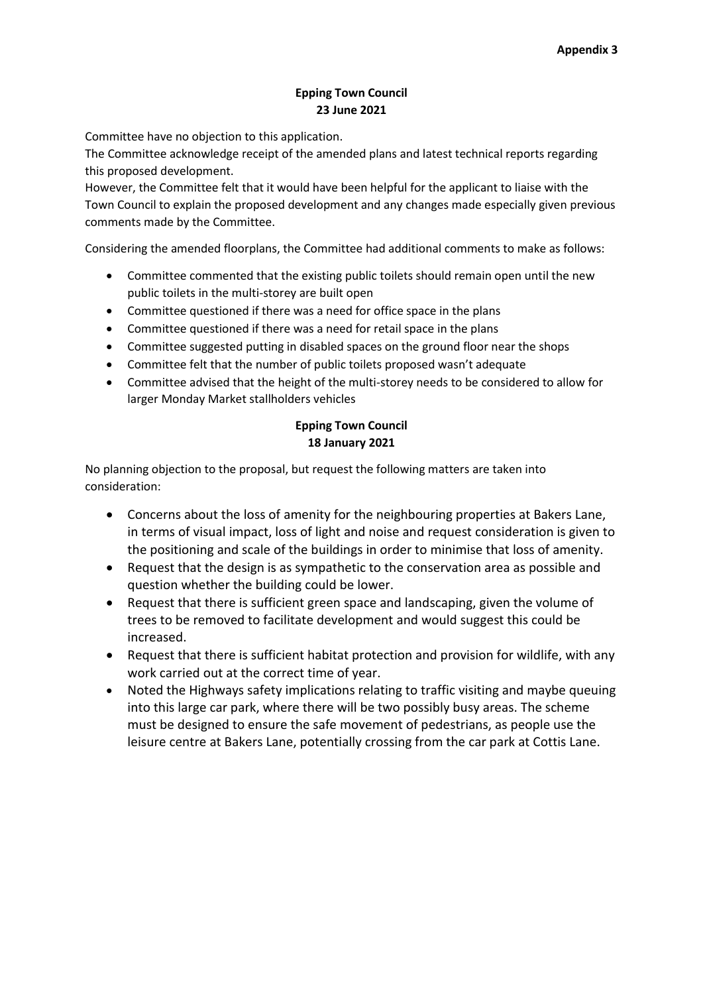# **Epping Town Council 23 June 2021**

Committee have no objection to this application.

The Committee acknowledge receipt of the amended plans and latest technical reports regarding this proposed development.

However, the Committee felt that it would have been helpful for the applicant to liaise with the Town Council to explain the proposed development and any changes made especially given previous comments made by the Committee.

Considering the amended floorplans, the Committee had additional comments to make as follows:

- Committee commented that the existing public toilets should remain open until the new public toilets in the multi-storey are built open
- Committee questioned if there was a need for office space in the plans
- Committee questioned if there was a need for retail space in the plans
- Committee suggested putting in disabled spaces on the ground floor near the shops
- Committee felt that the number of public toilets proposed wasn't adequate
- Committee advised that the height of the multi-storey needs to be considered to allow for larger Monday Market stallholders vehicles

# **Epping Town Council 18 January 2021**

No planning objection to the proposal, but request the following matters are taken into consideration:

- Concerns about the loss of amenity for the neighbouring properties at Bakers Lane, in terms of visual impact, loss of light and noise and request consideration is given to the positioning and scale of the buildings in order to minimise that loss of amenity.
- Request that the design is as sympathetic to the conservation area as possible and question whether the building could be lower.
- Request that there is sufficient green space and landscaping, given the volume of trees to be removed to facilitate development and would suggest this could be increased.
- Request that there is sufficient habitat protection and provision for wildlife, with any work carried out at the correct time of year.
- Noted the Highways safety implications relating to traffic visiting and maybe queuing into this large car park, where there will be two possibly busy areas. The scheme must be designed to ensure the safe movement of pedestrians, as people use the leisure centre at Bakers Lane, potentially crossing from the car park at Cottis Lane.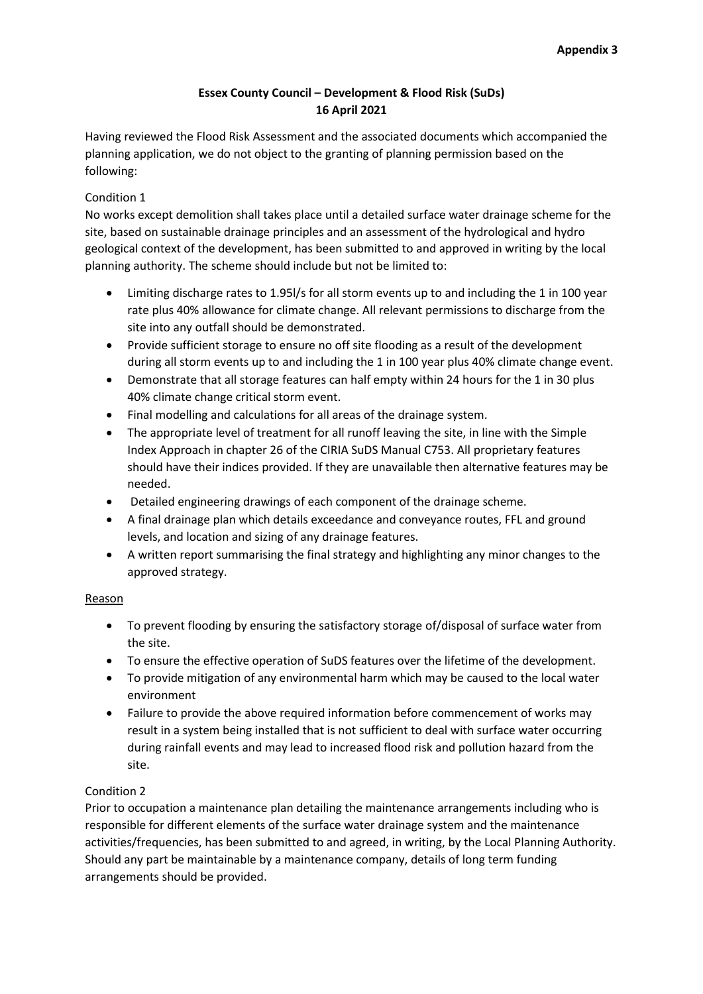# **Essex County Council – Development & Flood Risk (SuDs) 16 April 2021**

Having reviewed the Flood Risk Assessment and the associated documents which accompanied the planning application, we do not object to the granting of planning permission based on the following:

# Condition 1

No works except demolition shall takes place until a detailed surface water drainage scheme for the site, based on sustainable drainage principles and an assessment of the hydrological and hydro geological context of the development, has been submitted to and approved in writing by the local planning authority. The scheme should include but not be limited to:

- Limiting discharge rates to 1.95l/s for all storm events up to and including the 1 in 100 year rate plus 40% allowance for climate change. All relevant permissions to discharge from the site into any outfall should be demonstrated.
- Provide sufficient storage to ensure no off site flooding as a result of the development during all storm events up to and including the 1 in 100 year plus 40% climate change event.
- Demonstrate that all storage features can half empty within 24 hours for the 1 in 30 plus 40% climate change critical storm event.
- Final modelling and calculations for all areas of the drainage system.
- The appropriate level of treatment for all runoff leaving the site, in line with the Simple Index Approach in chapter 26 of the CIRIA SuDS Manual C753. All proprietary features should have their indices provided. If they are unavailable then alternative features may be needed.
- Detailed engineering drawings of each component of the drainage scheme.
- A final drainage plan which details exceedance and conveyance routes, FFL and ground levels, and location and sizing of any drainage features.
- A written report summarising the final strategy and highlighting any minor changes to the approved strategy.

### Reason

- To prevent flooding by ensuring the satisfactory storage of/disposal of surface water from the site.
- To ensure the effective operation of SuDS features over the lifetime of the development.
- To provide mitigation of any environmental harm which may be caused to the local water environment
- Failure to provide the above required information before commencement of works may result in a system being installed that is not sufficient to deal with surface water occurring during rainfall events and may lead to increased flood risk and pollution hazard from the site.

### Condition 2

Prior to occupation a maintenance plan detailing the maintenance arrangements including who is responsible for different elements of the surface water drainage system and the maintenance activities/frequencies, has been submitted to and agreed, in writing, by the Local Planning Authority. Should any part be maintainable by a maintenance company, details of long term funding arrangements should be provided.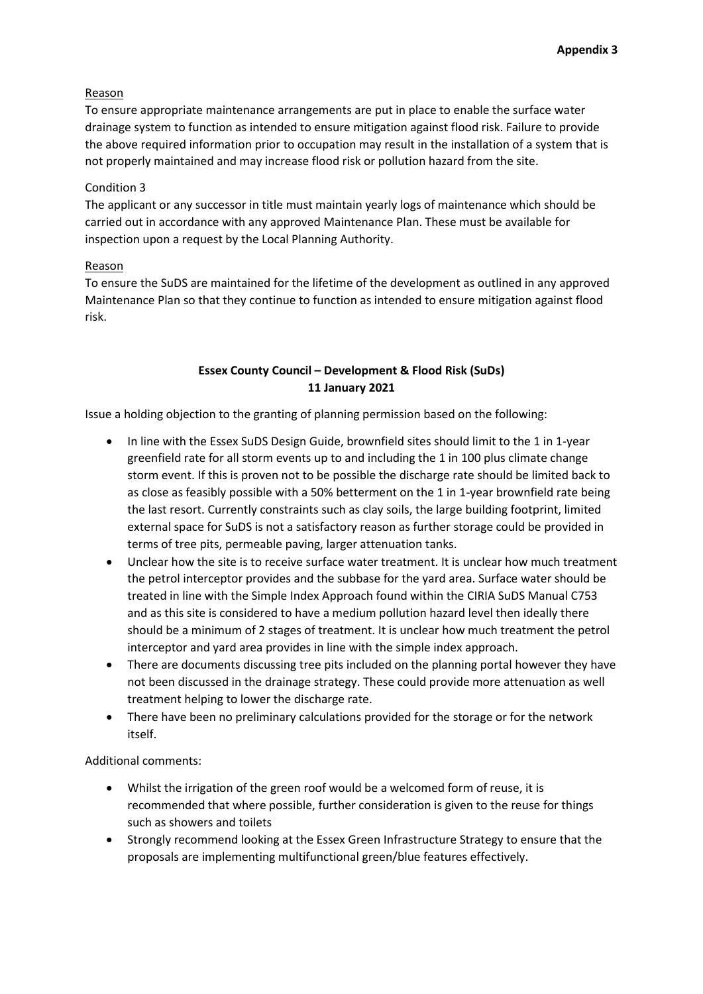### Reason

To ensure appropriate maintenance arrangements are put in place to enable the surface water drainage system to function as intended to ensure mitigation against flood risk. Failure to provide the above required information prior to occupation may result in the installation of a system that is not properly maintained and may increase flood risk or pollution hazard from the site.

## Condition 3

The applicant or any successor in title must maintain yearly logs of maintenance which should be carried out in accordance with any approved Maintenance Plan. These must be available for inspection upon a request by the Local Planning Authority.

# Reason

To ensure the SuDS are maintained for the lifetime of the development as outlined in any approved Maintenance Plan so that they continue to function as intended to ensure mitigation against flood risk.

# **Essex County Council – Development & Flood Risk (SuDs) 11 January 2021**

Issue a holding objection to the granting of planning permission based on the following:

- In line with the Essex SuDS Design Guide, brownfield sites should limit to the 1 in 1-year greenfield rate for all storm events up to and including the 1 in 100 plus climate change storm event. If this is proven not to be possible the discharge rate should be limited back to as close as feasibly possible with a 50% betterment on the 1 in 1-year brownfield rate being the last resort. Currently constraints such as clay soils, the large building footprint, limited external space for SuDS is not a satisfactory reason as further storage could be provided in terms of tree pits, permeable paving, larger attenuation tanks.
- Unclear how the site is to receive surface water treatment. It is unclear how much treatment the petrol interceptor provides and the subbase for the yard area. Surface water should be treated in line with the Simple Index Approach found within the CIRIA SuDS Manual C753 and as this site is considered to have a medium pollution hazard level then ideally there should be a minimum of 2 stages of treatment. It is unclear how much treatment the petrol interceptor and yard area provides in line with the simple index approach.
- There are documents discussing tree pits included on the planning portal however they have not been discussed in the drainage strategy. These could provide more attenuation as well treatment helping to lower the discharge rate.
- There have been no preliminary calculations provided for the storage or for the network itself.

Additional comments:

- Whilst the irrigation of the green roof would be a welcomed form of reuse, it is recommended that where possible, further consideration is given to the reuse for things such as showers and toilets
- Strongly recommend looking at the Essex Green Infrastructure Strategy to ensure that the proposals are implementing multifunctional green/blue features effectively.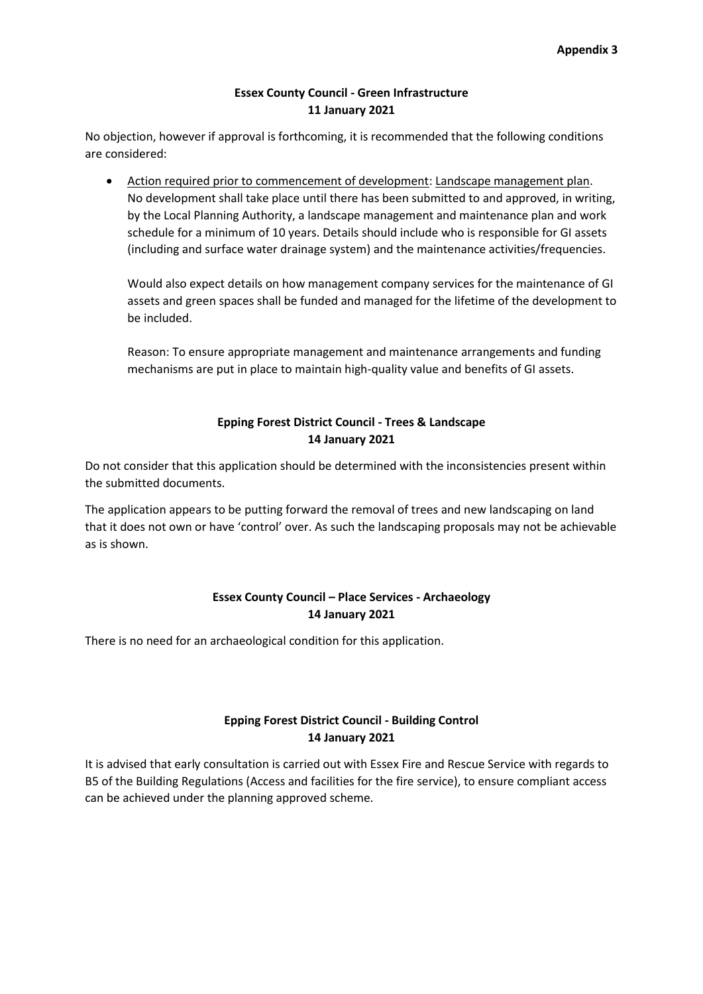### **Essex County Council - Green Infrastructure 11 January 2021**

No objection, however if approval is forthcoming, it is recommended that the following conditions are considered:

 Action required prior to commencement of development: Landscape management plan. No development shall take place until there has been submitted to and approved, in writing, by the Local Planning Authority, a landscape management and maintenance plan and work schedule for a minimum of 10 years. Details should include who is responsible for GI assets (including and surface water drainage system) and the maintenance activities/frequencies.

Would also expect details on how management company services for the maintenance of GI assets and green spaces shall be funded and managed for the lifetime of the development to be included.

Reason: To ensure appropriate management and maintenance arrangements and funding mechanisms are put in place to maintain high-quality value and benefits of GI assets.

# **Epping Forest District Council - Trees & Landscape 14 January 2021**

Do not consider that this application should be determined with the inconsistencies present within the submitted documents.

The application appears to be putting forward the removal of trees and new landscaping on land that it does not own or have 'control' over. As such the landscaping proposals may not be achievable as is shown.

# **Essex County Council – Place Services - Archaeology 14 January 2021**

There is no need for an archaeological condition for this application.

# **Epping Forest District Council - Building Control 14 January 2021**

It is advised that early consultation is carried out with Essex Fire and Rescue Service with regards to B5 of the Building Regulations (Access and facilities for the fire service), to ensure compliant access can be achieved under the planning approved scheme.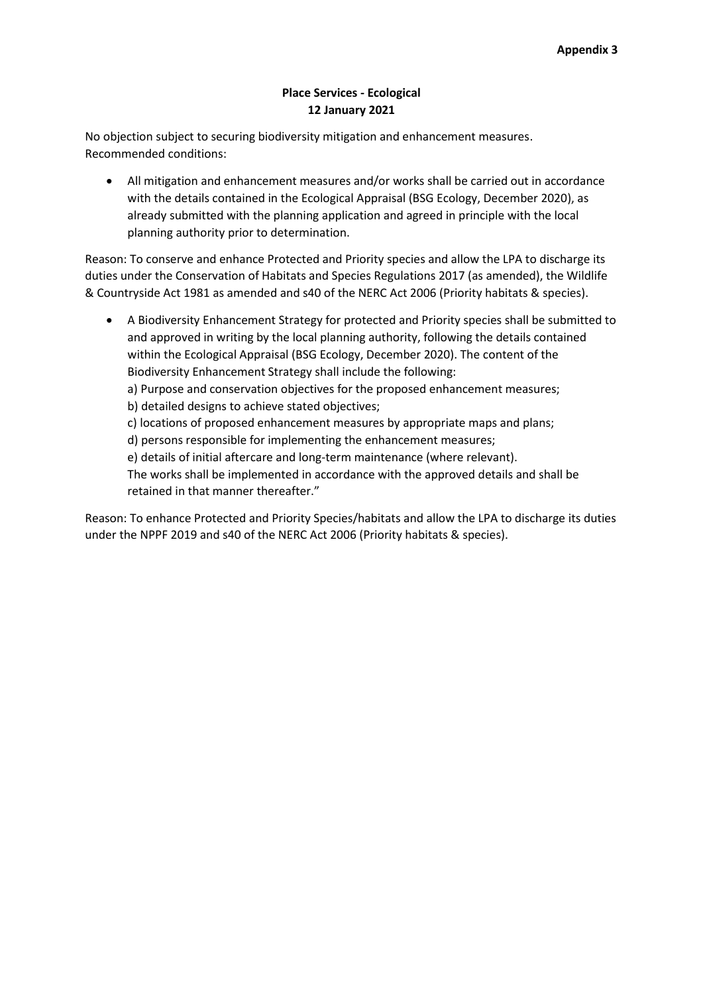# **Place Services - Ecological 12 January 2021**

No objection subject to securing biodiversity mitigation and enhancement measures. Recommended conditions:

 All mitigation and enhancement measures and/or works shall be carried out in accordance with the details contained in the Ecological Appraisal (BSG Ecology, December 2020), as already submitted with the planning application and agreed in principle with the local planning authority prior to determination.

Reason: To conserve and enhance Protected and Priority species and allow the LPA to discharge its duties under the Conservation of Habitats and Species Regulations 2017 (as amended), the Wildlife & Countryside Act 1981 as amended and s40 of the NERC Act 2006 (Priority habitats & species).

 A Biodiversity Enhancement Strategy for protected and Priority species shall be submitted to and approved in writing by the local planning authority, following the details contained within the Ecological Appraisal (BSG Ecology, December 2020). The content of the Biodiversity Enhancement Strategy shall include the following: a) Purpose and conservation objectives for the proposed enhancement measures; b) detailed designs to achieve stated objectives; c) locations of proposed enhancement measures by appropriate maps and plans; d) persons responsible for implementing the enhancement measures; e) details of initial aftercare and long-term maintenance (where relevant). The works shall be implemented in accordance with the approved details and shall be retained in that manner thereafter."

Reason: To enhance Protected and Priority Species/habitats and allow the LPA to discharge its duties under the NPPF 2019 and s40 of the NERC Act 2006 (Priority habitats & species).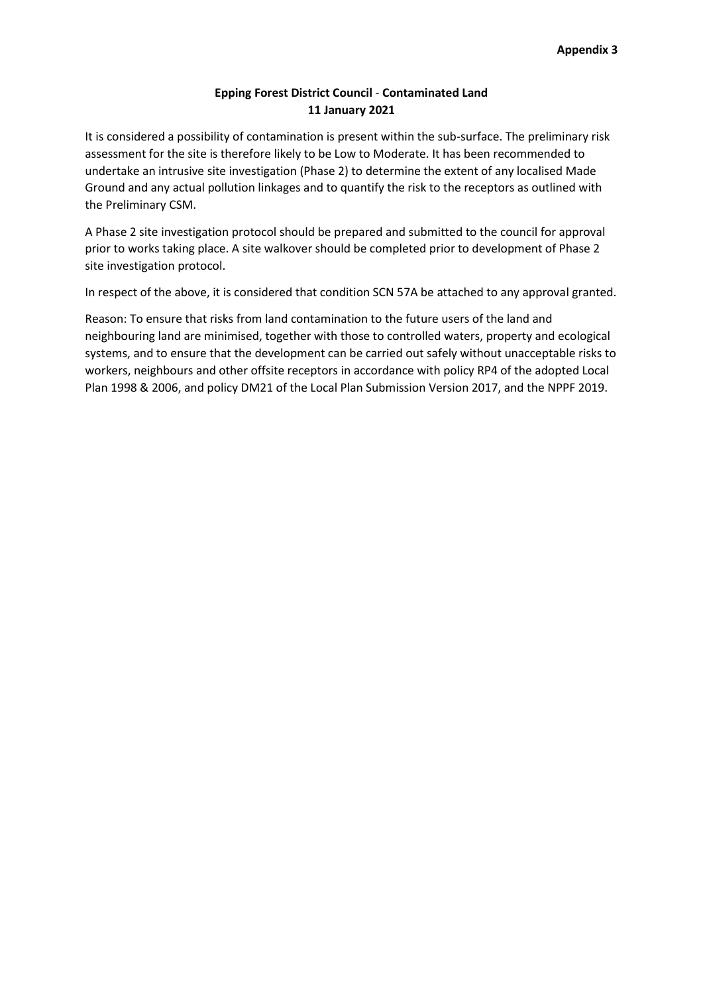# **Epping Forest District Council** - **Contaminated Land 11 January 2021**

It is considered a possibility of contamination is present within the sub-surface. The preliminary risk assessment for the site is therefore likely to be Low to Moderate. It has been recommended to undertake an intrusive site investigation (Phase 2) to determine the extent of any localised Made Ground and any actual pollution linkages and to quantify the risk to the receptors as outlined with the Preliminary CSM.

A Phase 2 site investigation protocol should be prepared and submitted to the council for approval prior to works taking place. A site walkover should be completed prior to development of Phase 2 site investigation protocol.

In respect of the above, it is considered that condition SCN 57A be attached to any approval granted.

Reason: To ensure that risks from land contamination to the future users of the land and neighbouring land are minimised, together with those to controlled waters, property and ecological systems, and to ensure that the development can be carried out safely without unacceptable risks to workers, neighbours and other offsite receptors in accordance with policy RP4 of the adopted Local Plan 1998 & 2006, and policy DM21 of the Local Plan Submission Version 2017, and the NPPF 2019.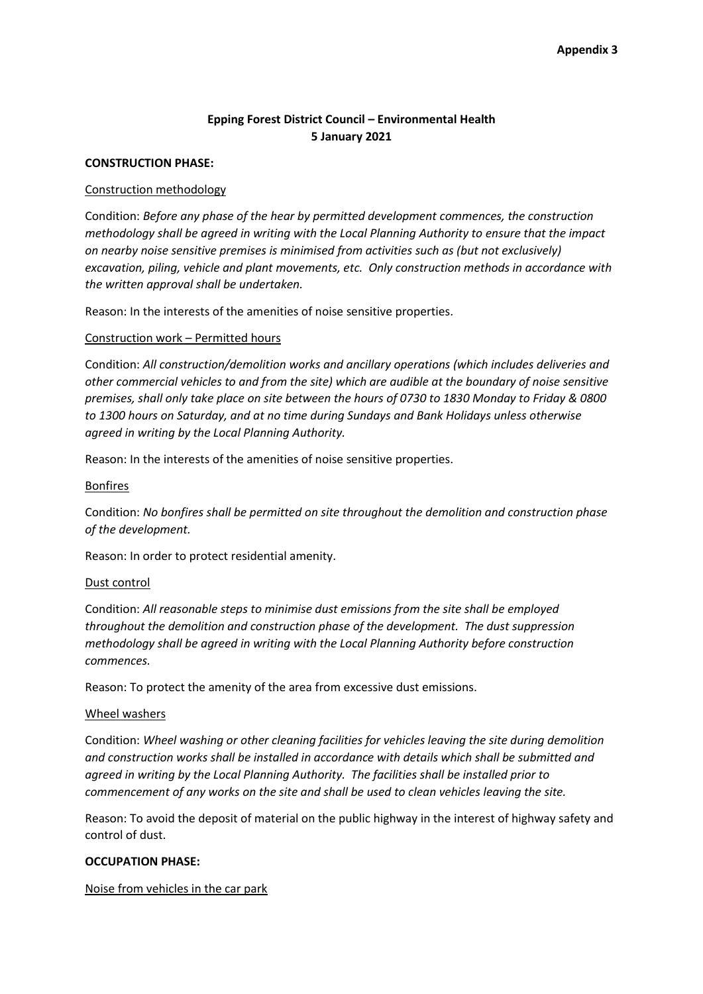# **Epping Forest District Council – Environmental Health 5 January 2021**

#### **CONSTRUCTION PHASE:**

#### Construction methodology

Condition: *Before any phase of the hear by permitted development commences, the construction methodology shall be agreed in writing with the Local Planning Authority to ensure that the impact on nearby noise sensitive premises is minimised from activities such as (but not exclusively) excavation, piling, vehicle and plant movements, etc. Only construction methods in accordance with the written approval shall be undertaken.*

Reason: In the interests of the amenities of noise sensitive properties.

#### Construction work – Permitted hours

Condition: *All construction/demolition works and ancillary operations (which includes deliveries and other commercial vehicles to and from the site) which are audible at the boundary of noise sensitive premises, shall only take place on site between the hours of 0730 to 1830 Monday to Friday & 0800 to 1300 hours on Saturday, and at no time during Sundays and Bank Holidays unless otherwise agreed in writing by the Local Planning Authority.*

Reason: In the interests of the amenities of noise sensitive properties.

#### Bonfires

Condition: *No bonfires shall be permitted on site throughout the demolition and construction phase of the development.*

Reason: In order to protect residential amenity.

#### Dust control

Condition: *All reasonable steps to minimise dust emissions from the site shall be employed throughout the demolition and construction phase of the development. The dust suppression methodology shall be agreed in writing with the Local Planning Authority before construction commences.*

Reason: To protect the amenity of the area from excessive dust emissions.

#### Wheel washers

Condition: *Wheel washing or other cleaning facilities for vehicles leaving the site during demolition and construction works shall be installed in accordance with details which shall be submitted and agreed in writing by the Local Planning Authority. The facilities shall be installed prior to commencement of any works on the site and shall be used to clean vehicles leaving the site.*

Reason: To avoid the deposit of material on the public highway in the interest of highway safety and control of dust.

#### **OCCUPATION PHASE:**

Noise from vehicles in the car park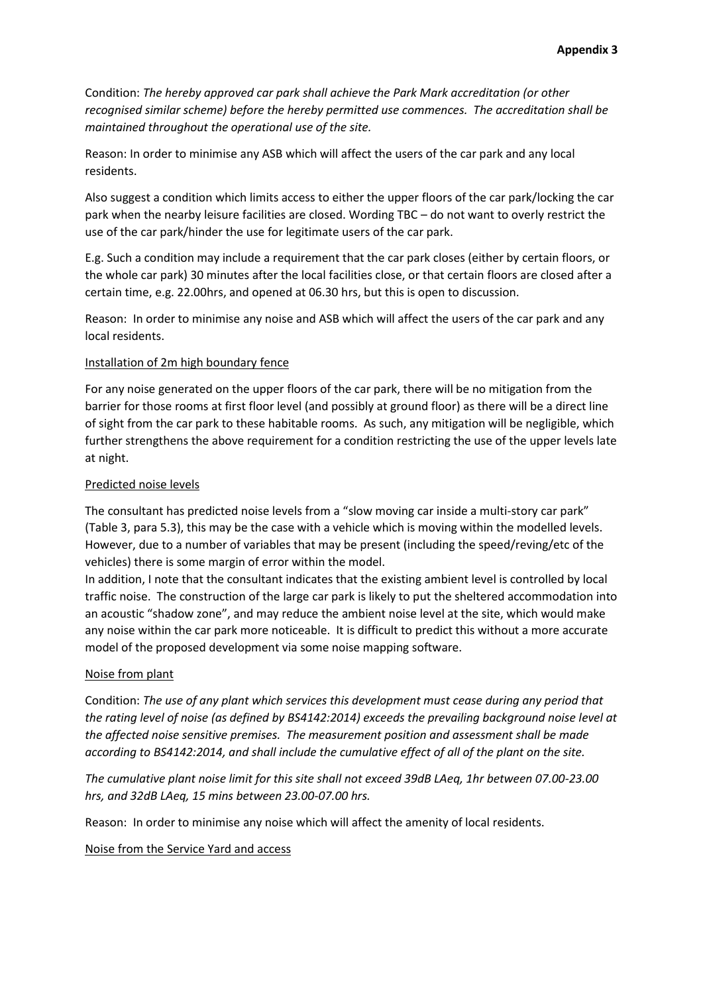Condition: *The hereby approved car park shall achieve the Park Mark accreditation (or other recognised similar scheme) before the hereby permitted use commences. The accreditation shall be maintained throughout the operational use of the site.*

Reason: In order to minimise any ASB which will affect the users of the car park and any local residents.

Also suggest a condition which limits access to either the upper floors of the car park/locking the car park when the nearby leisure facilities are closed. Wording TBC – do not want to overly restrict the use of the car park/hinder the use for legitimate users of the car park.

E.g. Such a condition may include a requirement that the car park closes (either by certain floors, or the whole car park) 30 minutes after the local facilities close, or that certain floors are closed after a certain time, e.g. 22.00hrs, and opened at 06.30 hrs, but this is open to discussion.

Reason: In order to minimise any noise and ASB which will affect the users of the car park and any local residents.

#### Installation of 2m high boundary fence

For any noise generated on the upper floors of the car park, there will be no mitigation from the barrier for those rooms at first floor level (and possibly at ground floor) as there will be a direct line of sight from the car park to these habitable rooms. As such, any mitigation will be negligible, which further strengthens the above requirement for a condition restricting the use of the upper levels late at night.

#### Predicted noise levels

The consultant has predicted noise levels from a "slow moving car inside a multi-story car park" (Table 3, para 5.3), this may be the case with a vehicle which is moving within the modelled levels. However, due to a number of variables that may be present (including the speed/reving/etc of the vehicles) there is some margin of error within the model.

In addition, I note that the consultant indicates that the existing ambient level is controlled by local traffic noise. The construction of the large car park is likely to put the sheltered accommodation into an acoustic "shadow zone", and may reduce the ambient noise level at the site, which would make any noise within the car park more noticeable. It is difficult to predict this without a more accurate model of the proposed development via some noise mapping software.

#### Noise from plant

Condition: *The use of any plant which services this development must cease during any period that the rating level of noise (as defined by BS4142:2014) exceeds the prevailing background noise level at the affected noise sensitive premises. The measurement position and assessment shall be made according to BS4142:2014, and shall include the cumulative effect of all of the plant on the site.*

*The cumulative plant noise limit for this site shall not exceed 39dB LAeq, 1hr between 07.00-23.00 hrs, and 32dB LAeq, 15 mins between 23.00-07.00 hrs.*

Reason: In order to minimise any noise which will affect the amenity of local residents.

Noise from the Service Yard and access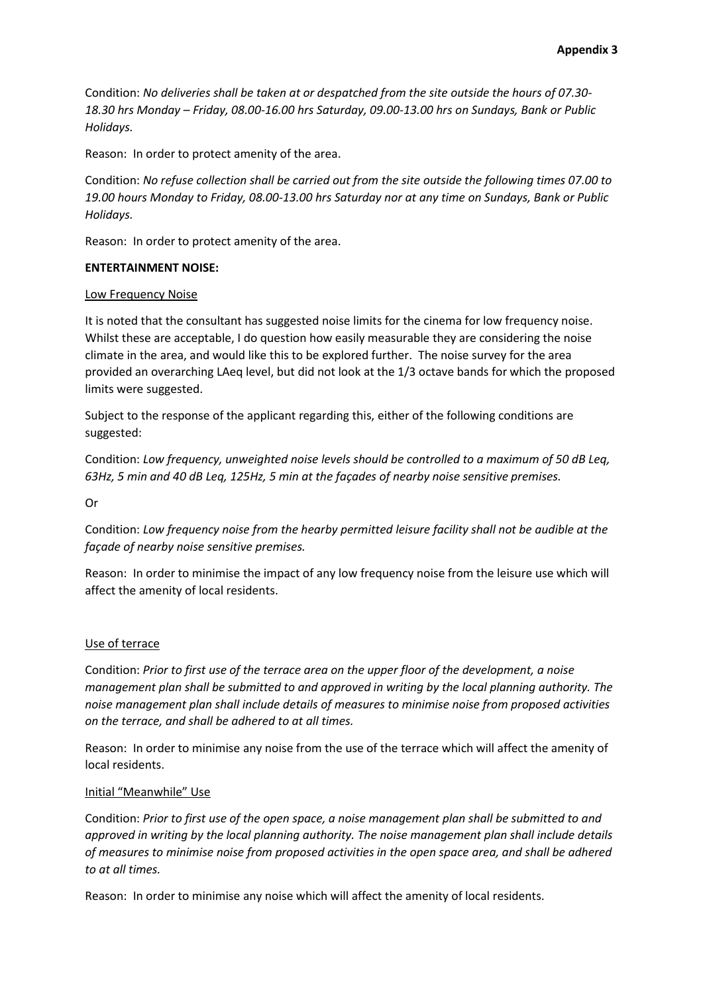Condition: *No deliveries shall be taken at or despatched from the site outside the hours of 07.30- 18.30 hrs Monday – Friday, 08.00-16.00 hrs Saturday, 09.00-13.00 hrs on Sundays, Bank or Public Holidays.*

Reason: In order to protect amenity of the area.

Condition: *No refuse collection shall be carried out from the site outside the following times 07.00 to 19.00 hours Monday to Friday, 08.00-13.00 hrs Saturday nor at any time on Sundays, Bank or Public Holidays.*

Reason: In order to protect amenity of the area.

#### **ENTERTAINMENT NOISE:**

#### Low Frequency Noise

It is noted that the consultant has suggested noise limits for the cinema for low frequency noise. Whilst these are acceptable, I do question how easily measurable they are considering the noise climate in the area, and would like this to be explored further. The noise survey for the area provided an overarching LAeq level, but did not look at the 1/3 octave bands for which the proposed limits were suggested.

Subject to the response of the applicant regarding this, either of the following conditions are suggested:

Condition: *Low frequency, unweighted noise levels should be controlled to a maximum of 50 dB Leq, 63Hz, 5 min and 40 dB Leq, 125Hz, 5 min at the façades of nearby noise sensitive premises.*

Or

Condition: *Low frequency noise from the hearby permitted leisure facility shall not be audible at the façade of nearby noise sensitive premises.*

Reason: In order to minimise the impact of any low frequency noise from the leisure use which will affect the amenity of local residents.

#### Use of terrace

Condition: *Prior to first use of the terrace area on the upper floor of the development, a noise management plan shall be submitted to and approved in writing by the local planning authority. The noise management plan shall include details of measures to minimise noise from proposed activities on the terrace, and shall be adhered to at all times.*

Reason: In order to minimise any noise from the use of the terrace which will affect the amenity of local residents.

#### Initial "Meanwhile" Use

Condition: *Prior to first use of the open space, a noise management plan shall be submitted to and approved in writing by the local planning authority. The noise management plan shall include details of measures to minimise noise from proposed activities in the open space area, and shall be adhered to at all times.*

Reason: In order to minimise any noise which will affect the amenity of local residents.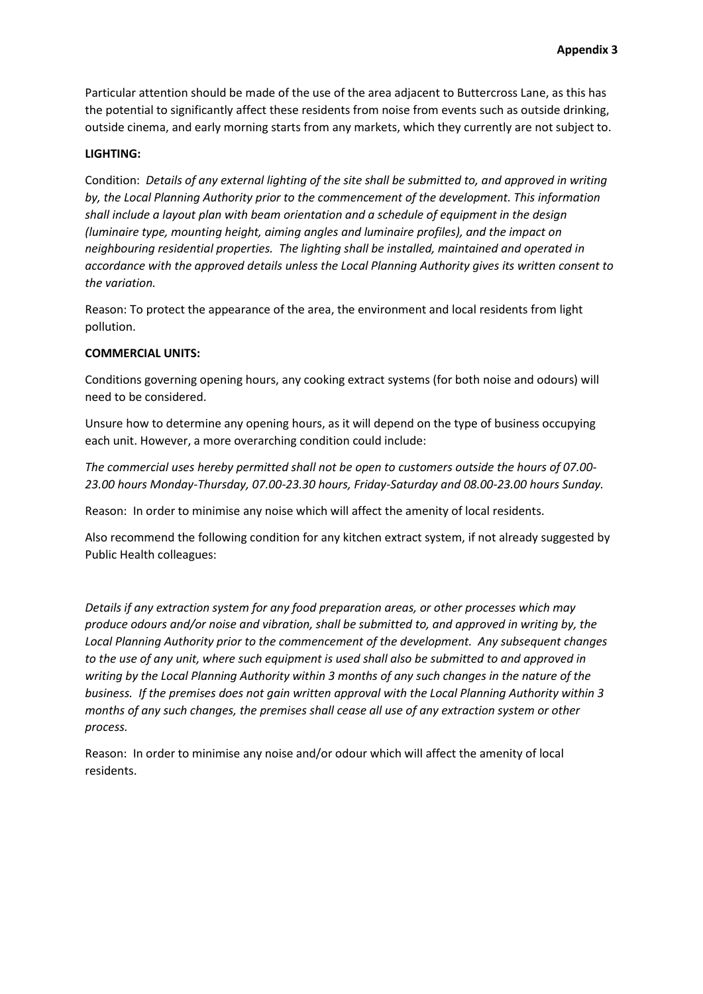Particular attention should be made of the use of the area adjacent to Buttercross Lane, as this has the potential to significantly affect these residents from noise from events such as outside drinking, outside cinema, and early morning starts from any markets, which they currently are not subject to.

#### **LIGHTING:**

Condition: *Details of any external lighting of the site shall be submitted to, and approved in writing by, the Local Planning Authority prior to the commencement of the development. This information shall include a layout plan with beam orientation and a schedule of equipment in the design (luminaire type, mounting height, aiming angles and luminaire profiles), and the impact on neighbouring residential properties. The lighting shall be installed, maintained and operated in accordance with the approved details unless the Local Planning Authority gives its written consent to the variation.*

Reason: To protect the appearance of the area, the environment and local residents from light pollution.

#### **COMMERCIAL UNITS:**

Conditions governing opening hours, any cooking extract systems (for both noise and odours) will need to be considered.

Unsure how to determine any opening hours, as it will depend on the type of business occupying each unit. However, a more overarching condition could include:

*The commercial uses hereby permitted shall not be open to customers outside the hours of 07.00- 23.00 hours Monday-Thursday, 07.00-23.30 hours, Friday-Saturday and 08.00-23.00 hours Sunday.* 

Reason: In order to minimise any noise which will affect the amenity of local residents.

Also recommend the following condition for any kitchen extract system, if not already suggested by Public Health colleagues:

*Details if any extraction system for any food preparation areas, or other processes which may produce odours and/or noise and vibration, shall be submitted to, and approved in writing by, the Local Planning Authority prior to the commencement of the development. Any subsequent changes to the use of any unit, where such equipment is used shall also be submitted to and approved in writing by the Local Planning Authority within 3 months of any such changes in the nature of the business. If the premises does not gain written approval with the Local Planning Authority within 3 months of any such changes, the premises shall cease all use of any extraction system or other process.* 

Reason: In order to minimise any noise and/or odour which will affect the amenity of local residents.